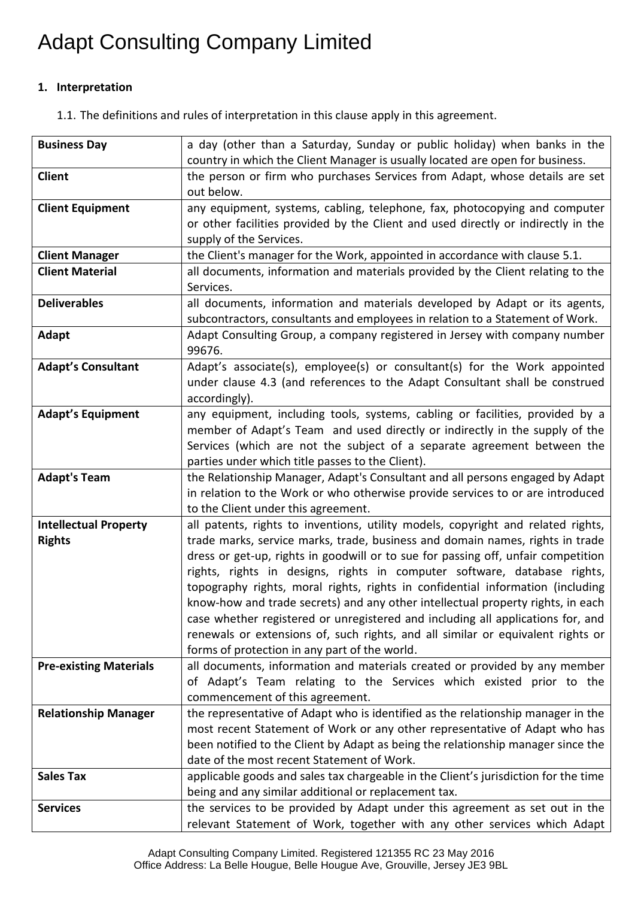# Adapt Consulting Company Limited

### **1. Interpretation**

1.1. The definitions and rules of interpretation in this clause apply in this agreement.

| <b>Business Day</b>           | a day (other than a Saturday, Sunday or public holiday) when banks in the                                                                                          |
|-------------------------------|--------------------------------------------------------------------------------------------------------------------------------------------------------------------|
|                               | country in which the Client Manager is usually located are open for business.                                                                                      |
| <b>Client</b>                 | the person or firm who purchases Services from Adapt, whose details are set                                                                                        |
|                               | out below.                                                                                                                                                         |
| <b>Client Equipment</b>       | any equipment, systems, cabling, telephone, fax, photocopying and computer                                                                                         |
|                               | or other facilities provided by the Client and used directly or indirectly in the                                                                                  |
|                               | supply of the Services.                                                                                                                                            |
| <b>Client Manager</b>         | the Client's manager for the Work, appointed in accordance with clause 5.1.                                                                                        |
| <b>Client Material</b>        | all documents, information and materials provided by the Client relating to the                                                                                    |
|                               | Services.                                                                                                                                                          |
| <b>Deliverables</b>           | all documents, information and materials developed by Adapt or its agents,                                                                                         |
|                               | subcontractors, consultants and employees in relation to a Statement of Work.                                                                                      |
| Adapt                         | Adapt Consulting Group, a company registered in Jersey with company number                                                                                         |
|                               | 99676.                                                                                                                                                             |
| <b>Adapt's Consultant</b>     | Adapt's associate(s), employee(s) or consultant(s) for the Work appointed                                                                                          |
|                               | under clause 4.3 (and references to the Adapt Consultant shall be construed                                                                                        |
|                               | accordingly).                                                                                                                                                      |
| <b>Adapt's Equipment</b>      | any equipment, including tools, systems, cabling or facilities, provided by a                                                                                      |
|                               | member of Adapt's Team and used directly or indirectly in the supply of the                                                                                        |
|                               | Services (which are not the subject of a separate agreement between the                                                                                            |
|                               | parties under which title passes to the Client).                                                                                                                   |
| <b>Adapt's Team</b>           | the Relationship Manager, Adapt's Consultant and all persons engaged by Adapt                                                                                      |
|                               | in relation to the Work or who otherwise provide services to or are introduced                                                                                     |
|                               | to the Client under this agreement.                                                                                                                                |
| <b>Intellectual Property</b>  | all patents, rights to inventions, utility models, copyright and related rights,                                                                                   |
| <b>Rights</b>                 | trade marks, service marks, trade, business and domain names, rights in trade<br>dress or get-up, rights in goodwill or to sue for passing off, unfair competition |
|                               | rights, rights in designs, rights in computer software, database rights,                                                                                           |
|                               | topography rights, moral rights, rights in confidential information (including                                                                                     |
|                               | know-how and trade secrets) and any other intellectual property rights, in each                                                                                    |
|                               | case whether registered or unregistered and including all applications for, and                                                                                    |
|                               | renewals or extensions of, such rights, and all similar or equivalent rights or                                                                                    |
|                               | forms of protection in any part of the world.                                                                                                                      |
| <b>Pre-existing Materials</b> | all documents, information and materials created or provided by any member                                                                                         |
|                               | of Adapt's Team relating to the Services which existed prior to the                                                                                                |
|                               | commencement of this agreement.                                                                                                                                    |
| <b>Relationship Manager</b>   | the representative of Adapt who is identified as the relationship manager in the                                                                                   |
|                               | most recent Statement of Work or any other representative of Adapt who has                                                                                         |
|                               | been notified to the Client by Adapt as being the relationship manager since the                                                                                   |
|                               | date of the most recent Statement of Work.                                                                                                                         |
| <b>Sales Tax</b>              | applicable goods and sales tax chargeable in the Client's jurisdiction for the time                                                                                |
|                               | being and any similar additional or replacement tax.                                                                                                               |
| <b>Services</b>               | the services to be provided by Adapt under this agreement as set out in the                                                                                        |
|                               | relevant Statement of Work, together with any other services which Adapt                                                                                           |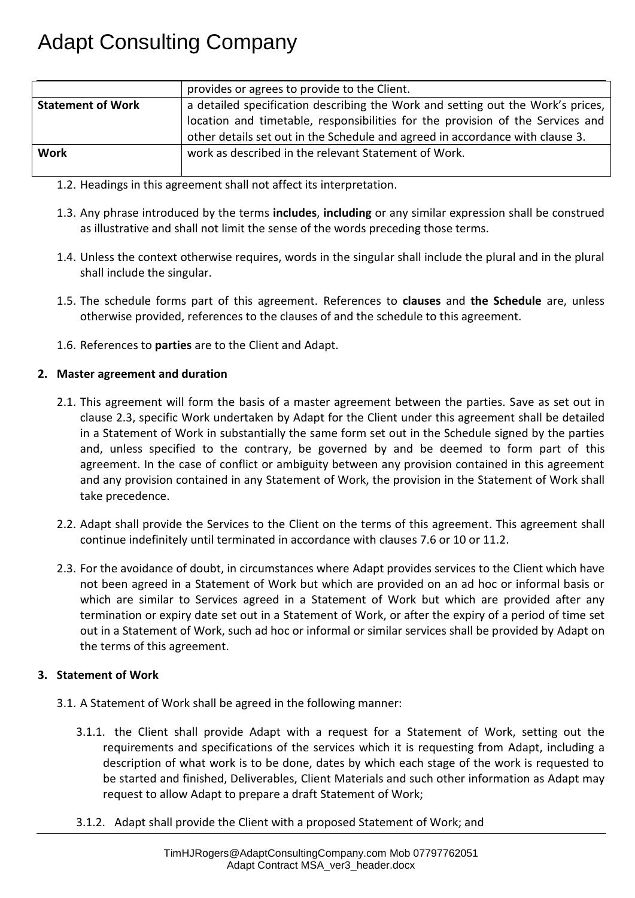|                          | provides or agrees to provide to the Client.                                    |
|--------------------------|---------------------------------------------------------------------------------|
| <b>Statement of Work</b> | a detailed specification describing the Work and setting out the Work's prices, |
|                          | location and timetable, responsibilities for the provision of the Services and  |
|                          | other details set out in the Schedule and agreed in accordance with clause 3.   |
| <b>Work</b>              | work as described in the relevant Statement of Work.                            |
|                          |                                                                                 |

- 1.2. Headings in this agreement shall not affect its interpretation.
- 1.3. Any phrase introduced by the terms **includes**, **including** or any similar expression shall be construed as illustrative and shall not limit the sense of the words preceding those terms.
- 1.4. Unless the context otherwise requires, words in the singular shall include the plural and in the plural shall include the singular.
- 1.5. The schedule forms part of this agreement. References to **clauses** and **the Schedule** are, unless otherwise provided, references to the clauses of and the schedule to this agreement.
- 1.6. References to **parties** are to the Client and Adapt.

### **2. Master agreement and duration**

- 2.1. This agreement will form the basis of a master agreement between the parties. Save as set out in clause 2.3, specific Work undertaken by Adapt for the Client under this agreement shall be detailed in a Statement of Work in substantially the same form set out in the Schedule signed by the parties and, unless specified to the contrary, be governed by and be deemed to form part of this agreement. In the case of conflict or ambiguity between any provision contained in this agreement and any provision contained in any Statement of Work, the provision in the Statement of Work shall take precedence.
- 2.2. Adapt shall provide the Services to the Client on the terms of this agreement. This agreement shall continue indefinitely until terminated in accordance with clauses 7.6 or 10 or 11.2.
- 2.3. For the avoidance of doubt, in circumstances where Adapt provides services to the Client which have not been agreed in a Statement of Work but which are provided on an ad hoc or informal basis or which are similar to Services agreed in a Statement of Work but which are provided after any termination or expiry date set out in a Statement of Work, or after the expiry of a period of time set out in a Statement of Work, such ad hoc or informal or similar services shall be provided by Adapt on the terms of this agreement.

#### **3. Statement of Work**

- 3.1. A Statement of Work shall be agreed in the following manner:
	- 3.1.1. the Client shall provide Adapt with a request for a Statement of Work, setting out the requirements and specifications of the services which it is requesting from Adapt, including a description of what work is to be done, dates by which each stage of the work is requested to be started and finished, Deliverables, Client Materials and such other information as Adapt may request to allow Adapt to prepare a draft Statement of Work;
	- 3.1.2. Adapt shall provide the Client with a proposed Statement of Work; and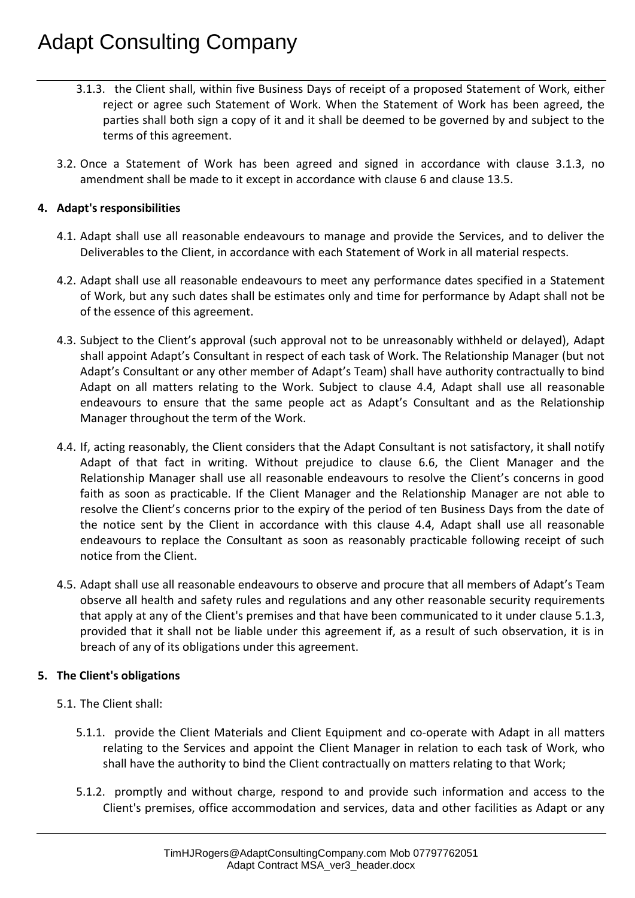- 3.1.3. the Client shall, within five Business Days of receipt of a proposed Statement of Work, either reject or agree such Statement of Work. When the Statement of Work has been agreed, the parties shall both sign a copy of it and it shall be deemed to be governed by and subject to the terms of this agreement.
- 3.2. Once a Statement of Work has been agreed and signed in accordance with clause 3.1.3, no amendment shall be made to it except in accordance with clause 6 and clause 13.5.

#### **4. Adapt's responsibilities**

- 4.1. Adapt shall use all reasonable endeavours to manage and provide the Services, and to deliver the Deliverables to the Client, in accordance with each Statement of Work in all material respects.
- 4.2. Adapt shall use all reasonable endeavours to meet any performance dates specified in a Statement of Work, but any such dates shall be estimates only and time for performance by Adapt shall not be of the essence of this agreement.
- 4.3. Subject to the Client's approval (such approval not to be unreasonably withheld or delayed), Adapt shall appoint Adapt's Consultant in respect of each task of Work. The Relationship Manager (but not Adapt's Consultant or any other member of Adapt's Team) shall have authority contractually to bind Adapt on all matters relating to the Work. Subject to clause 4.4, Adapt shall use all reasonable endeavours to ensure that the same people act as Adapt's Consultant and as the Relationship Manager throughout the term of the Work.
- 4.4. If, acting reasonably, the Client considers that the Adapt Consultant is not satisfactory, it shall notify Adapt of that fact in writing. Without prejudice to clause 6.6, the Client Manager and the Relationship Manager shall use all reasonable endeavours to resolve the Client's concerns in good faith as soon as practicable. If the Client Manager and the Relationship Manager are not able to resolve the Client's concerns prior to the expiry of the period of ten Business Days from the date of the notice sent by the Client in accordance with this clause 4.4, Adapt shall use all reasonable endeavours to replace the Consultant as soon as reasonably practicable following receipt of such notice from the Client.
- 4.5. Adapt shall use all reasonable endeavours to observe and procure that all members of Adapt's Team observe all health and safety rules and regulations and any other reasonable security requirements that apply at any of the Client's premises and that have been communicated to it under clause 5.1.3, provided that it shall not be liable under this agreement if, as a result of such observation, it is in breach of any of its obligations under this agreement.

#### **5. The Client's obligations**

- 5.1. The Client shall:
	- 5.1.1. provide the Client Materials and Client Equipment and co-operate with Adapt in all matters relating to the Services and appoint the Client Manager in relation to each task of Work, who shall have the authority to bind the Client contractually on matters relating to that Work;
	- 5.1.2. promptly and without charge, respond to and provide such information and access to the Client's premises, office accommodation and services, data and other facilities as Adapt or any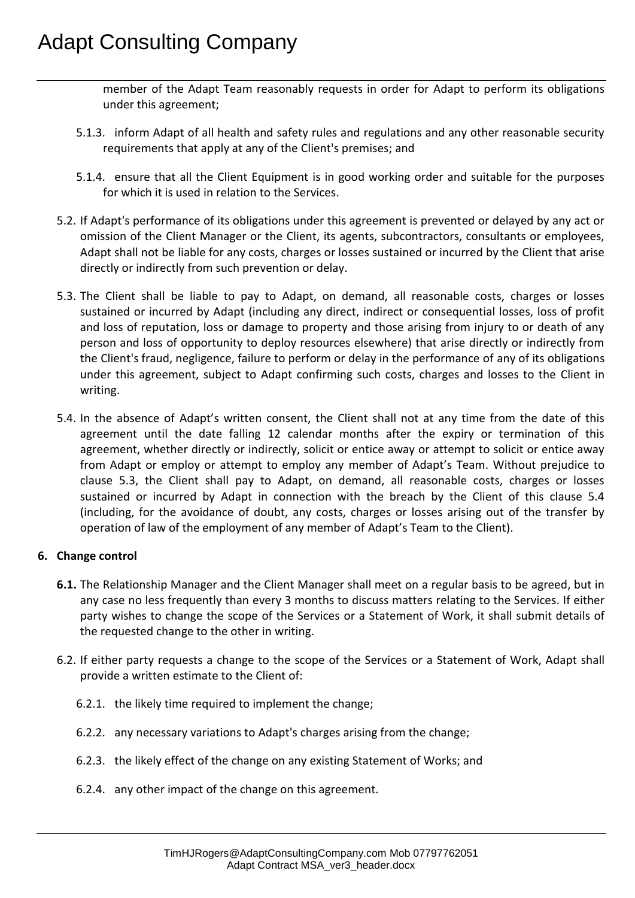member of the Adapt Team reasonably requests in order for Adapt to perform its obligations under this agreement;

- 5.1.3. inform Adapt of all health and safety rules and regulations and any other reasonable security requirements that apply at any of the Client's premises; and
- 5.1.4. ensure that all the Client Equipment is in good working order and suitable for the purposes for which it is used in relation to the Services.
- 5.2. If Adapt's performance of its obligations under this agreement is prevented or delayed by any act or omission of the Client Manager or the Client, its agents, subcontractors, consultants or employees, Adapt shall not be liable for any costs, charges or losses sustained or incurred by the Client that arise directly or indirectly from such prevention or delay.
- 5.3. The Client shall be liable to pay to Adapt, on demand, all reasonable costs, charges or losses sustained or incurred by Adapt (including any direct, indirect or consequential losses, loss of profit and loss of reputation, loss or damage to property and those arising from injury to or death of any person and loss of opportunity to deploy resources elsewhere) that arise directly or indirectly from the Client's fraud, negligence, failure to perform or delay in the performance of any of its obligations under this agreement, subject to Adapt confirming such costs, charges and losses to the Client in writing.
- 5.4. In the absence of Adapt's written consent, the Client shall not at any time from the date of this agreement until the date falling 12 calendar months after the expiry or termination of this agreement, whether directly or indirectly, solicit or entice away or attempt to solicit or entice away from Adapt or employ or attempt to employ any member of Adapt's Team. Without prejudice to clause 5.3, the Client shall pay to Adapt, on demand, all reasonable costs, charges or losses sustained or incurred by Adapt in connection with the breach by the Client of this clause 5.4 (including, for the avoidance of doubt, any costs, charges or losses arising out of the transfer by operation of law of the employment of any member of Adapt's Team to the Client).

#### **6. Change control**

- **6.1.** The Relationship Manager and the Client Manager shall meet on a regular basis to be agreed, but in any case no less frequently than every 3 months to discuss matters relating to the Services. If either party wishes to change the scope of the Services or a Statement of Work, it shall submit details of the requested change to the other in writing.
- 6.2. If either party requests a change to the scope of the Services or a Statement of Work, Adapt shall provide a written estimate to the Client of:
	- 6.2.1. the likely time required to implement the change;
	- 6.2.2. any necessary variations to Adapt's charges arising from the change;
	- 6.2.3. the likely effect of the change on any existing Statement of Works; and
	- 6.2.4. any other impact of the change on this agreement.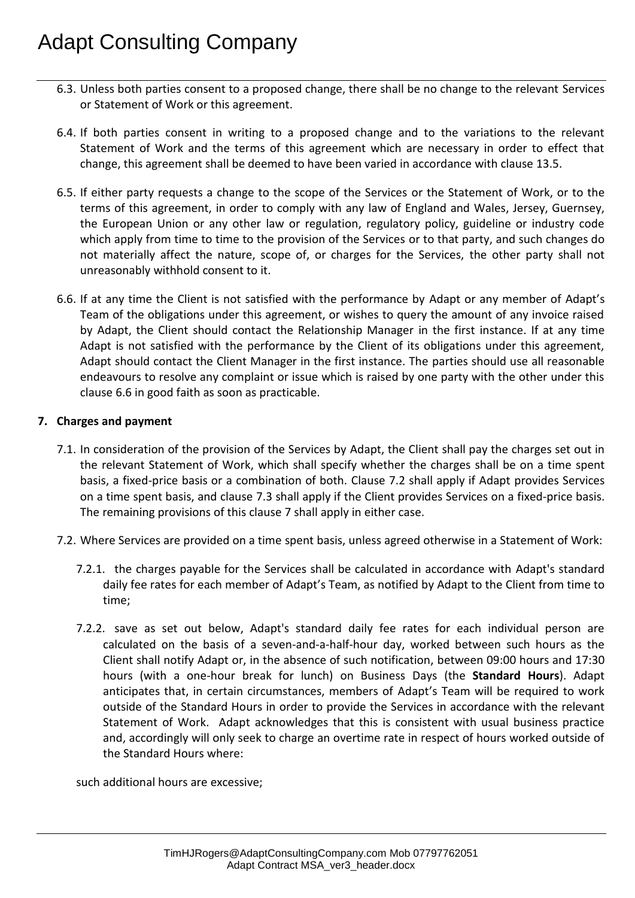- 6.3. Unless both parties consent to a proposed change, there shall be no change to the relevant Services or Statement of Work or this agreement.
- 6.4. If both parties consent in writing to a proposed change and to the variations to the relevant Statement of Work and the terms of this agreement which are necessary in order to effect that change, this agreement shall be deemed to have been varied in accordance with clause 13.5.
- 6.5. If either party requests a change to the scope of the Services or the Statement of Work, or to the terms of this agreement, in order to comply with any law of England and Wales, Jersey, Guernsey, the European Union or any other law or regulation, regulatory policy, guideline or industry code which apply from time to time to the provision of the Services or to that party, and such changes do not materially affect the nature, scope of, or charges for the Services, the other party shall not unreasonably withhold consent to it.
- 6.6. If at any time the Client is not satisfied with the performance by Adapt or any member of Adapt's Team of the obligations under this agreement, or wishes to query the amount of any invoice raised by Adapt, the Client should contact the Relationship Manager in the first instance. If at any time Adapt is not satisfied with the performance by the Client of its obligations under this agreement, Adapt should contact the Client Manager in the first instance. The parties should use all reasonable endeavours to resolve any complaint or issue which is raised by one party with the other under this clause 6.6 in good faith as soon as practicable.

#### **7. Charges and payment**

- 7.1. In consideration of the provision of the Services by Adapt, the Client shall pay the charges set out in the relevant Statement of Work, which shall specify whether the charges shall be on a time spent basis, a fixed-price basis or a combination of both. Clause 7.2 shall apply if Adapt provides Services on a time spent basis, and clause 7.3 shall apply if the Client provides Services on a fixed-price basis. The remaining provisions of this clause 7 shall apply in either case.
- 7.2. Where Services are provided on a time spent basis, unless agreed otherwise in a Statement of Work:
	- 7.2.1. the charges payable for the Services shall be calculated in accordance with Adapt's standard daily fee rates for each member of Adapt's Team, as notified by Adapt to the Client from time to time;
	- 7.2.2. save as set out below, Adapt's standard daily fee rates for each individual person are calculated on the basis of a seven-and-a-half-hour day, worked between such hours as the Client shall notify Adapt or, in the absence of such notification, between 09:00 hours and 17:30 hours (with a one-hour break for lunch) on Business Days (the **Standard Hours**). Adapt anticipates that, in certain circumstances, members of Adapt's Team will be required to work outside of the Standard Hours in order to provide the Services in accordance with the relevant Statement of Work. Adapt acknowledges that this is consistent with usual business practice and, accordingly will only seek to charge an overtime rate in respect of hours worked outside of the Standard Hours where:

such additional hours are excessive;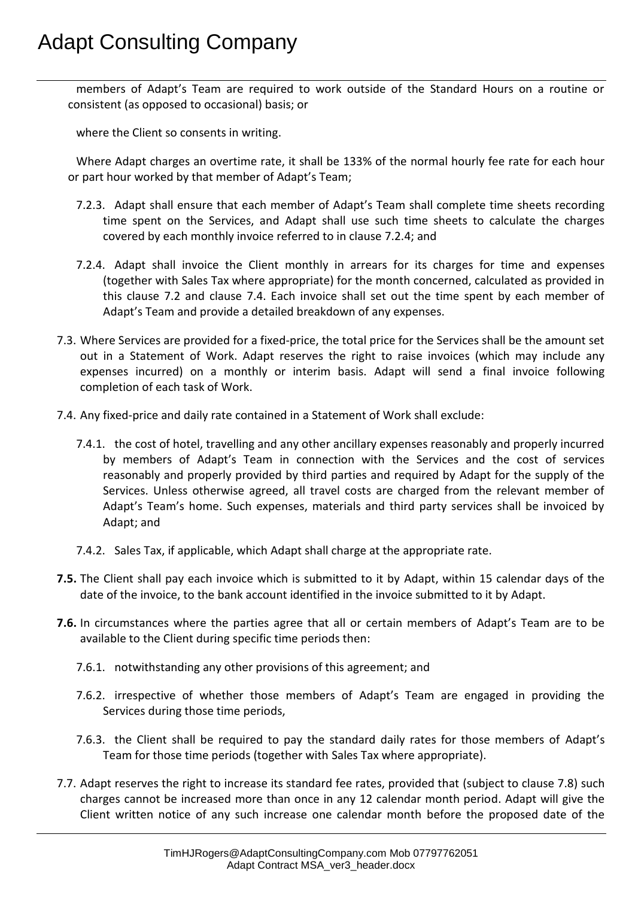members of Adapt's Team are required to work outside of the Standard Hours on a routine or consistent (as opposed to occasional) basis; or

where the Client so consents in writing.

Where Adapt charges an overtime rate, it shall be 133% of the normal hourly fee rate for each hour or part hour worked by that member of Adapt's Team;

- 7.2.3. Adapt shall ensure that each member of Adapt's Team shall complete time sheets recording time spent on the Services, and Adapt shall use such time sheets to calculate the charges covered by each monthly invoice referred to in clause 7.2.4; and
- 7.2.4. Adapt shall invoice the Client monthly in arrears for its charges for time and expenses (together with Sales Tax where appropriate) for the month concerned, calculated as provided in this clause 7.2 and clause 7.4. Each invoice shall set out the time spent by each member of Adapt's Team and provide a detailed breakdown of any expenses.
- 7.3. Where Services are provided for a fixed-price, the total price for the Services shall be the amount set out in a Statement of Work. Adapt reserves the right to raise invoices (which may include any expenses incurred) on a monthly or interim basis. Adapt will send a final invoice following completion of each task of Work.
- 7.4. Any fixed-price and daily rate contained in a Statement of Work shall exclude:
	- 7.4.1. the cost of hotel, travelling and any other ancillary expenses reasonably and properly incurred by members of Adapt's Team in connection with the Services and the cost of services reasonably and properly provided by third parties and required by Adapt for the supply of the Services. Unless otherwise agreed, all travel costs are charged from the relevant member of Adapt's Team's home. Such expenses, materials and third party services shall be invoiced by Adapt; and
	- 7.4.2. Sales Tax, if applicable, which Adapt shall charge at the appropriate rate.
- **7.5.** The Client shall pay each invoice which is submitted to it by Adapt, within 15 calendar days of the date of the invoice, to the bank account identified in the invoice submitted to it by Adapt.
- **7.6.** In circumstances where the parties agree that all or certain members of Adapt's Team are to be available to the Client during specific time periods then:
	- 7.6.1. notwithstanding any other provisions of this agreement; and
	- 7.6.2. irrespective of whether those members of Adapt's Team are engaged in providing the Services during those time periods,
	- 7.6.3. the Client shall be required to pay the standard daily rates for those members of Adapt's Team for those time periods (together with Sales Tax where appropriate).
- 7.7. Adapt reserves the right to increase its standard fee rates, provided that (subject to clause 7.8) such charges cannot be increased more than once in any 12 calendar month period. Adapt will give the Client written notice of any such increase one calendar month before the proposed date of the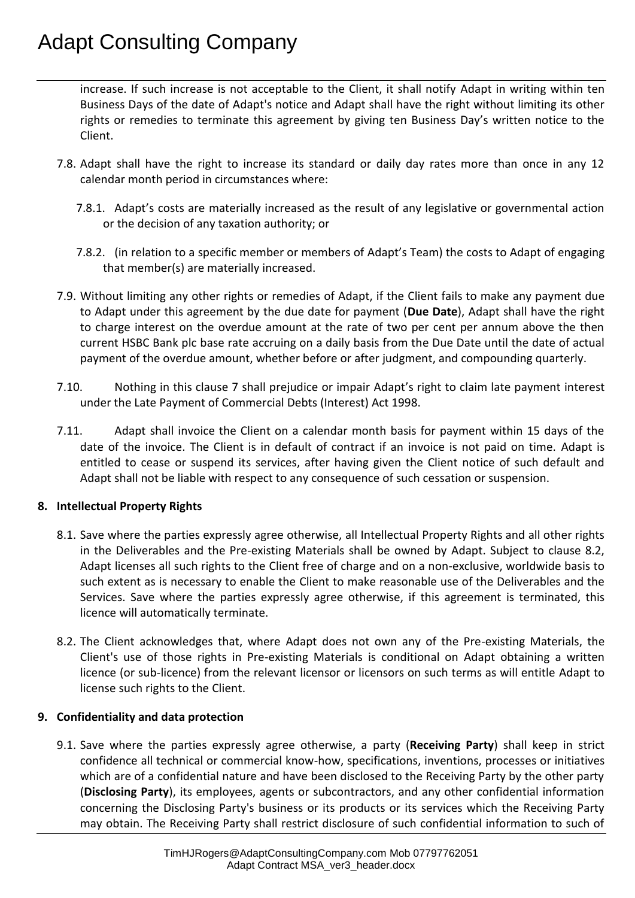increase. If such increase is not acceptable to the Client, it shall notify Adapt in writing within ten Business Days of the date of Adapt's notice and Adapt shall have the right without limiting its other rights or remedies to terminate this agreement by giving ten Business Day's written notice to the Client.

- 7.8. Adapt shall have the right to increase its standard or daily day rates more than once in any 12 calendar month period in circumstances where:
	- 7.8.1. Adapt's costs are materially increased as the result of any legislative or governmental action or the decision of any taxation authority; or
	- 7.8.2. (in relation to a specific member or members of Adapt's Team) the costs to Adapt of engaging that member(s) are materially increased.
- 7.9. Without limiting any other rights or remedies of Adapt, if the Client fails to make any payment due to Adapt under this agreement by the due date for payment (**Due Date**), Adapt shall have the right to charge interest on the overdue amount at the rate of two per cent per annum above the then current HSBC Bank plc base rate accruing on a daily basis from the Due Date until the date of actual payment of the overdue amount, whether before or after judgment, and compounding quarterly.
- 7.10. Nothing in this clause 7 shall prejudice or impair Adapt's right to claim late payment interest under the Late Payment of Commercial Debts (Interest) Act 1998.
- 7.11. Adapt shall invoice the Client on a calendar month basis for payment within 15 days of the date of the invoice. The Client is in default of contract if an invoice is not paid on time. Adapt is entitled to cease or suspend its services, after having given the Client notice of such default and Adapt shall not be liable with respect to any consequence of such cessation or suspension.

### **8. Intellectual Property Rights**

- 8.1. Save where the parties expressly agree otherwise, all Intellectual Property Rights and all other rights in the Deliverables and the Pre-existing Materials shall be owned by Adapt. Subject to clause 8.2, Adapt licenses all such rights to the Client free of charge and on a non-exclusive, worldwide basis to such extent as is necessary to enable the Client to make reasonable use of the Deliverables and the Services. Save where the parties expressly agree otherwise, if this agreement is terminated, this licence will automatically terminate.
- 8.2. The Client acknowledges that, where Adapt does not own any of the Pre-existing Materials, the Client's use of those rights in Pre-existing Materials is conditional on Adapt obtaining a written licence (or sub-licence) from the relevant licensor or licensors on such terms as will entitle Adapt to license such rights to the Client.

#### **9. Confidentiality and data protection**

9.1. Save where the parties expressly agree otherwise, a party (**Receiving Party**) shall keep in strict confidence all technical or commercial know-how, specifications, inventions, processes or initiatives which are of a confidential nature and have been disclosed to the Receiving Party by the other party (**Disclosing Party**), its employees, agents or subcontractors, and any other confidential information concerning the Disclosing Party's business or its products or its services which the Receiving Party may obtain. The Receiving Party shall restrict disclosure of such confidential information to such of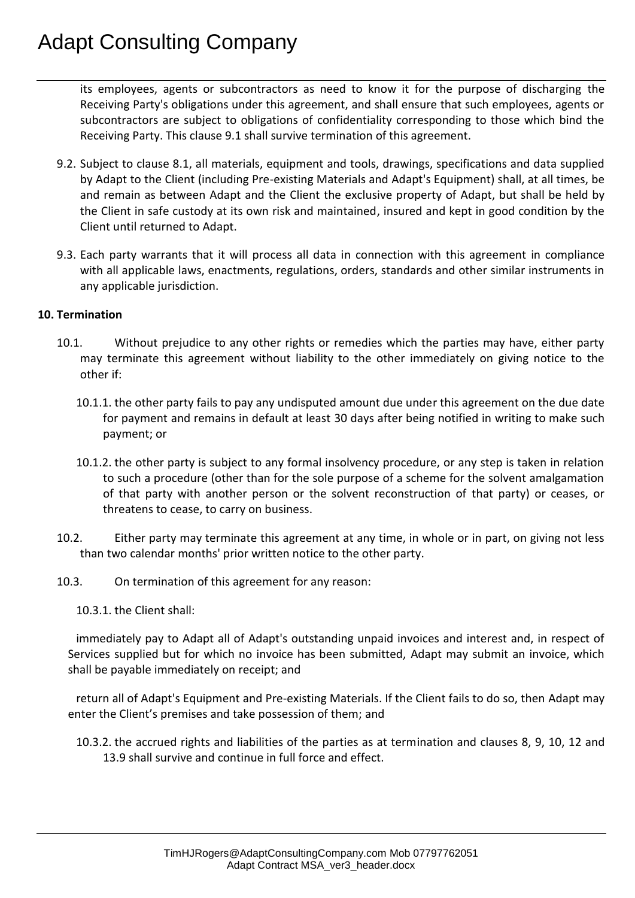its employees, agents or subcontractors as need to know it for the purpose of discharging the Receiving Party's obligations under this agreement, and shall ensure that such employees, agents or subcontractors are subject to obligations of confidentiality corresponding to those which bind the Receiving Party. This clause 9.1 shall survive termination of this agreement.

- 9.2. Subject to clause 8.1, all materials, equipment and tools, drawings, specifications and data supplied by Adapt to the Client (including Pre-existing Materials and Adapt's Equipment) shall, at all times, be and remain as between Adapt and the Client the exclusive property of Adapt, but shall be held by the Client in safe custody at its own risk and maintained, insured and kept in good condition by the Client until returned to Adapt.
- 9.3. Each party warrants that it will process all data in connection with this agreement in compliance with all applicable laws, enactments, regulations, orders, standards and other similar instruments in any applicable jurisdiction.

#### **10. Termination**

- 10.1. Without prejudice to any other rights or remedies which the parties may have, either party may terminate this agreement without liability to the other immediately on giving notice to the other if:
	- 10.1.1. the other party fails to pay any undisputed amount due under this agreement on the due date for payment and remains in default at least 30 days after being notified in writing to make such payment; or
	- 10.1.2. the other party is subject to any formal insolvency procedure, or any step is taken in relation to such a procedure (other than for the sole purpose of a scheme for the solvent amalgamation of that party with another person or the solvent reconstruction of that party) or ceases, or threatens to cease, to carry on business.
- 10.2. Either party may terminate this agreement at any time, in whole or in part, on giving not less than two calendar months' prior written notice to the other party.
- 10.3. On termination of this agreement for any reason:
	- 10.3.1. the Client shall:

immediately pay to Adapt all of Adapt's outstanding unpaid invoices and interest and, in respect of Services supplied but for which no invoice has been submitted, Adapt may submit an invoice, which shall be payable immediately on receipt; and

return all of Adapt's Equipment and Pre-existing Materials. If the Client fails to do so, then Adapt may enter the Client's premises and take possession of them; and

10.3.2. the accrued rights and liabilities of the parties as at termination and clauses 8, 9, 10, 12 and 13.9 shall survive and continue in full force and effect.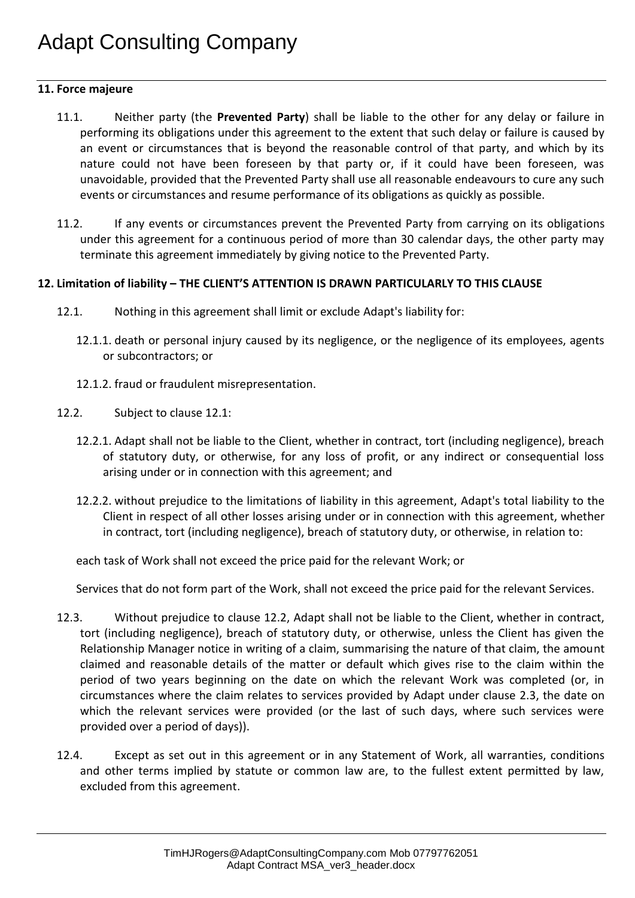#### **11. Force majeure**

- 11.1. Neither party (the **Prevented Party**) shall be liable to the other for any delay or failure in performing its obligations under this agreement to the extent that such delay or failure is caused by an event or circumstances that is beyond the reasonable control of that party, and which by its nature could not have been foreseen by that party or, if it could have been foreseen, was unavoidable, provided that the Prevented Party shall use all reasonable endeavours to cure any such events or circumstances and resume performance of its obligations as quickly as possible.
- 11.2. If any events or circumstances prevent the Prevented Party from carrying on its obligations under this agreement for a continuous period of more than 30 calendar days, the other party may terminate this agreement immediately by giving notice to the Prevented Party.

#### **12. Limitation of liability – THE CLIENT'S ATTENTION IS DRAWN PARTICULARLY TO THIS CLAUSE**

- 12.1. Nothing in this agreement shall limit or exclude Adapt's liability for:
	- 12.1.1. death or personal injury caused by its negligence, or the negligence of its employees, agents or subcontractors; or
	- 12.1.2. fraud or fraudulent misrepresentation.
- 12.2. Subject to clause 12.1:
	- 12.2.1. Adapt shall not be liable to the Client, whether in contract, tort (including negligence), breach of statutory duty, or otherwise, for any loss of profit, or any indirect or consequential loss arising under or in connection with this agreement; and
	- 12.2.2. without prejudice to the limitations of liability in this agreement, Adapt's total liability to the Client in respect of all other losses arising under or in connection with this agreement, whether in contract, tort (including negligence), breach of statutory duty, or otherwise, in relation to:

each task of Work shall not exceed the price paid for the relevant Work; or

Services that do not form part of the Work, shall not exceed the price paid for the relevant Services.

- 12.3. Without prejudice to clause 12.2, Adapt shall not be liable to the Client, whether in contract, tort (including negligence), breach of statutory duty, or otherwise, unless the Client has given the Relationship Manager notice in writing of a claim, summarising the nature of that claim, the amount claimed and reasonable details of the matter or default which gives rise to the claim within the period of two years beginning on the date on which the relevant Work was completed (or, in circumstances where the claim relates to services provided by Adapt under clause 2.3, the date on which the relevant services were provided (or the last of such days, where such services were provided over a period of days)).
- 12.4. Except as set out in this agreement or in any Statement of Work, all warranties, conditions and other terms implied by statute or common law are, to the fullest extent permitted by law, excluded from this agreement.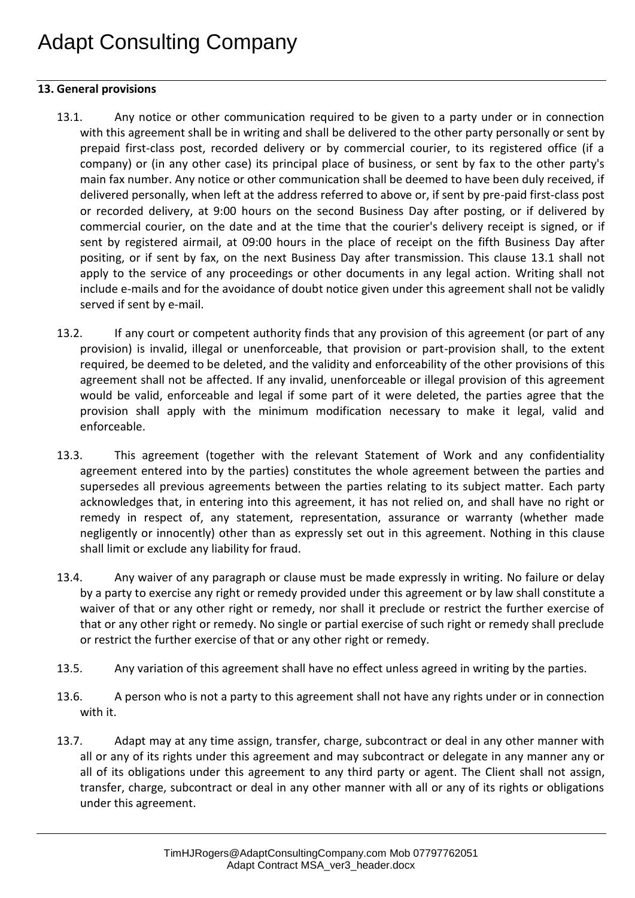### **13. General provisions**

- 13.1. Any notice or other communication required to be given to a party under or in connection with this agreement shall be in writing and shall be delivered to the other party personally or sent by prepaid first-class post, recorded delivery or by commercial courier, to its registered office (if a company) or (in any other case) its principal place of business, or sent by fax to the other party's main fax number. Any notice or other communication shall be deemed to have been duly received, if delivered personally, when left at the address referred to above or, if sent by pre-paid first-class post or recorded delivery, at 9:00 hours on the second Business Day after posting, or if delivered by commercial courier, on the date and at the time that the courier's delivery receipt is signed, or if sent by registered airmail, at 09:00 hours in the place of receipt on the fifth Business Day after positing, or if sent by fax, on the next Business Day after transmission. This clause 13.1 shall not apply to the service of any proceedings or other documents in any legal action. Writing shall not include e-mails and for the avoidance of doubt notice given under this agreement shall not be validly served if sent by e-mail.
- 13.2. If any court or competent authority finds that any provision of this agreement (or part of any provision) is invalid, illegal or unenforceable, that provision or part-provision shall, to the extent required, be deemed to be deleted, and the validity and enforceability of the other provisions of this agreement shall not be affected. If any invalid, unenforceable or illegal provision of this agreement would be valid, enforceable and legal if some part of it were deleted, the parties agree that the provision shall apply with the minimum modification necessary to make it legal, valid and enforceable.
- 13.3. This agreement (together with the relevant Statement of Work and any confidentiality agreement entered into by the parties) constitutes the whole agreement between the parties and supersedes all previous agreements between the parties relating to its subject matter. Each party acknowledges that, in entering into this agreement, it has not relied on, and shall have no right or remedy in respect of, any statement, representation, assurance or warranty (whether made negligently or innocently) other than as expressly set out in this agreement. Nothing in this clause shall limit or exclude any liability for fraud.
- 13.4. Any waiver of any paragraph or clause must be made expressly in writing. No failure or delay by a party to exercise any right or remedy provided under this agreement or by law shall constitute a waiver of that or any other right or remedy, nor shall it preclude or restrict the further exercise of that or any other right or remedy. No single or partial exercise of such right or remedy shall preclude or restrict the further exercise of that or any other right or remedy.
- 13.5. Any variation of this agreement shall have no effect unless agreed in writing by the parties.
- 13.6. A person who is not a party to this agreement shall not have any rights under or in connection with it.
- 13.7. Adapt may at any time assign, transfer, charge, subcontract or deal in any other manner with all or any of its rights under this agreement and may subcontract or delegate in any manner any or all of its obligations under this agreement to any third party or agent. The Client shall not assign, transfer, charge, subcontract or deal in any other manner with all or any of its rights or obligations under this agreement.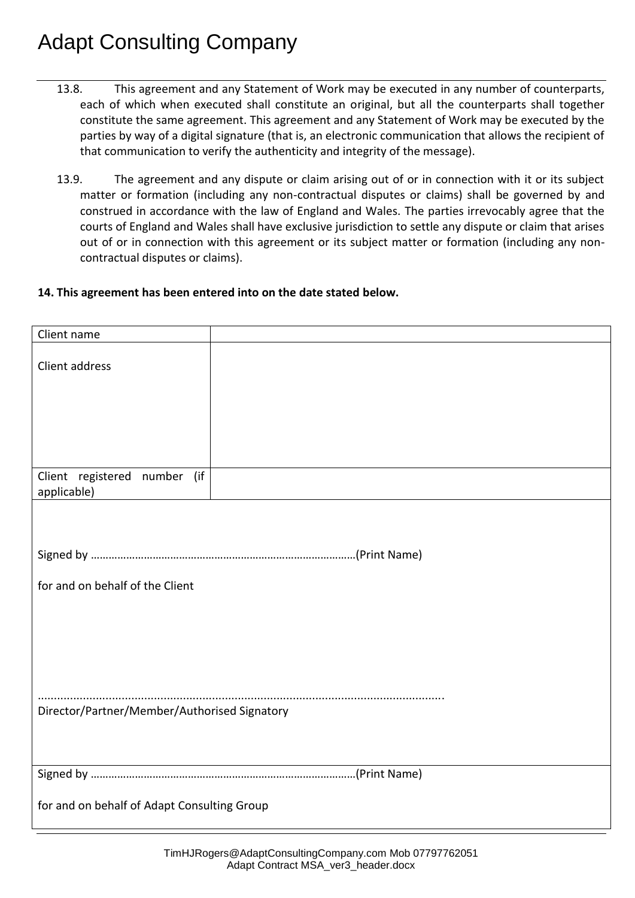- 13.8. This agreement and any Statement of Work may be executed in any number of counterparts, each of which when executed shall constitute an original, but all the counterparts shall together constitute the same agreement. This agreement and any Statement of Work may be executed by the parties by way of a digital signature (that is, an electronic communication that allows the recipient of that communication to verify the authenticity and integrity of the message).
- 13.9. The agreement and any dispute or claim arising out of or in connection with it or its subject matter or formation (including any non-contractual disputes or claims) shall be governed by and construed in accordance with the law of England and Wales. The parties irrevocably agree that the courts of England and Wales shall have exclusive jurisdiction to settle any dispute or claim that arises out of or in connection with this agreement or its subject matter or formation (including any noncontractual disputes or claims).

### **14. This agreement has been entered into on the date stated below.**

| Client name                                  |  |  |
|----------------------------------------------|--|--|
| Client address                               |  |  |
|                                              |  |  |
|                                              |  |  |
|                                              |  |  |
| Client registered number (if<br>applicable)  |  |  |
|                                              |  |  |
|                                              |  |  |
| for and on behalf of the Client              |  |  |
|                                              |  |  |
|                                              |  |  |
|                                              |  |  |
| Director/Partner/Member/Authorised Signatory |  |  |
|                                              |  |  |
|                                              |  |  |
| for and on behalf of Adapt Consulting Group  |  |  |